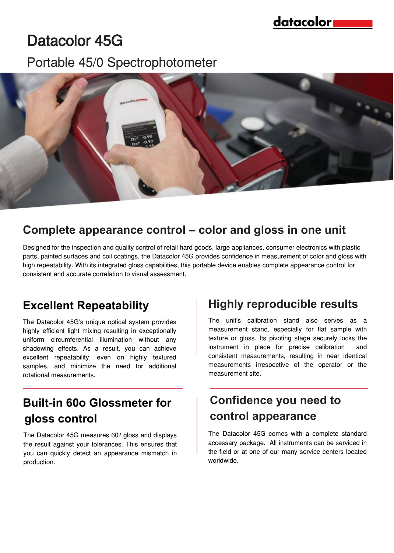# Datacolor 45G

### Portable 45/0 Spectrophotometer



#### **Complete appearance control – color and gloss in one unit**

Designed for the inspection and quality control of retail hard goods, large appliances, consumer electronics with plastic parts, painted surfaces and coil coatings, the Datacolor 45G provides confidence in measurement of color and gloss with high repeatability. With its integrated gloss capabilities, this portable device enables complete appearance control for consistent and accurate correlation to visual assessment.

The Datacolor 45G's unique optical system provides highly efficient light mixing resulting in exceptionally uniform circumferential illumination without any shadowing effects. As a result, you can achieve excellent repeatability, even on highly textured samples, and minimize the need for additional rotational measurements.

## **Built-in 60o Glossmeter for gloss control**

The Datacolor 45G measures  $60^\circ$  gloss and displays the result against your tolerances. This ensures that you can quickly detect an appearance mismatch in production.

### **Excellent Repeatability Fighly reproducible results**

The unit's calibration stand also serves as a measurement stand, especially for flat sample with texture or gloss. Its pivoting stage securely locks the instrument in place for precise calibration and consistent measurements, resulting in near identical measurements irrespective of the operator or the measurement site.

#### **Confidence you need to control appearance**

The Datacolor 45G comes with a complete standard accessary package. All instruments can be serviced in the field or at one of our many service centers located worldwide.